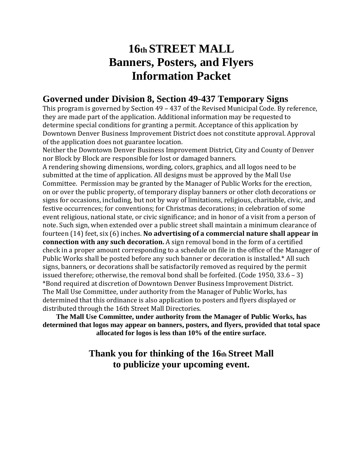## **16th STREET MALL Banners, Posters, and Flyers Information Packet**

### **Governed under Division 8, Section 49-437 Temporary Signs**

This program is governed by Section 49 – 437 of the Revised Municipal Code. By reference, they are made part of the application. Additional information may be requested to determine special conditions for granting a permit. Acceptance of this application by Downtown Denver Business Improvement District does not constitute approval. Approval of the application does not guarantee location.

Neither the Downtown Denver Business Improvement District, City and County of Denver nor Block by Block are responsible for lost or damaged banners.

A rendering showing dimensions, wording, colors, graphics, and all logos need to be submitted at the time of application. All designs must be approved by the Mall Use Committee. Permission may be granted by the Manager of Public Works for the erection, on or over the public property, of temporary display banners or other cloth decorations or signs for occasions, including, but not by way of limitations, religious, charitable, civic, and festive occurrences; for conventions; for Christmas decorations; in celebration of some event religious, national state, or civic significance; and in honor of a visit from a person of note. Such sign, when extended over a public street shall maintain a minimum clearance of fourteen (14) feet, six (6) inches. **No advertising of a commercial nature shall appear in connection with any such decoration.** A sign removal bond in the form of a certified check in a proper amount corresponding to a schedule on file in the office of the Manager of Public Works shall be posted before any such banner or decoration is installed.\* All such signs, banners, or decorations shall be satisfactorily removed as required by the permit issued therefore; otherwise, the removal bond shall be forfeited. (Code 1950, 33.6 – 3) \*Bond required at discretion of Downtown Denver Business Improvement District. The Mall Use Committee, under authority from the Manager of Public Works, has determined that this ordinance is also application to posters and flyers displayed or distributed through the 16th Street Mall Directories.

**The Mall Use Committee, under authority from the Manager of Public Works, has determined that logos may appear on banners, posters, and flyers, provided that total space allocated for logos is less than 10% of the entire surface.**

### **Thank you for thinking of the 16th Street Mall to publicize your upcoming event.**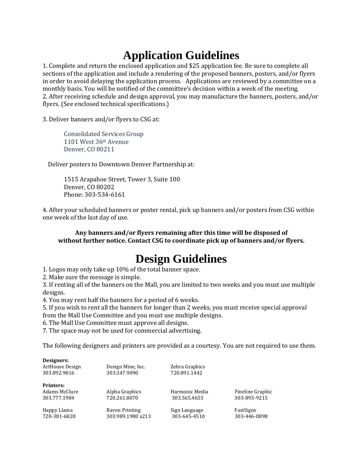# **Application Guidelines**

1. Complete and return the enclosed application and \$25 application fee. Be sure to complete all sections of the application and include a rendering of the proposed banners, posters, and/or flyers in order to avoid delaying the application process. Applications are reviewed by a committee on a monthly basis. You will be notified of the committee's decision within a week of the meeting. 2. After receiving schedule and design approval, you may manufacture the banners, posters, and/or flyers. (See enclosed technical specifications.)

3. Deliver banners and/or flyers to CSG at:

Consolidated Services Group 1101 West 36th Avenue Denver, CO 80211

Deliver posters to Downtown Denver Partnership at:

1515 Arapahoe Street, Tower 3, Suite 100 Denver, CO 80202 Phone: 303-534-6161

4. After your scheduled banners or poster rental, pick up banners and/or posters from CSG within one week of the last day of use.

**Any banners and/or flyers remaining after this time will be disposed of without further notice. Contact CSG to coordinate pick up of banners and/or flyers.**

# **Design Guidelines**

1. Logos may only take up 10% of the total banner space.

2. Make sure the message is simple.

3. If renting all of the banners on the Mall, you are limited to two weeks and you must use multiple designs.

4. You may rent half the banners for a period of 6 weeks.

5. If you wish to rent all the banners for longer than 2 weeks, you must receive special approval from the Mall Use Committee and you must use multiple designs.

6. The Mall Use Committee must approve all designs.

7. The space may not be used for commercial advertising.

The following designers and printers are provided as a courtesy. You are not required to use them.

| Designers:<br>ArtHouse Design | Design Mine, Inc. | Zebra Graphics |                  |
|-------------------------------|-------------------|----------------|------------------|
| 303.892.9816                  | 303.347.9090      | 720.891.1442   |                  |
| <b>Printers:</b>              |                   |                |                  |
| Adams McClure                 | Alpha Graphics    | Harmonic Media | Fineline Graphic |
| 303.777.1984                  | 720.261.8070      | 303.565.4655   | 303-893-9215     |
| Happy Llama                   | Raven Printing    | Sign Language  | FastSigns        |
| 720-381-6820                  | 303.989.1980 x213 | 303-645-4510   | 303-446-0898     |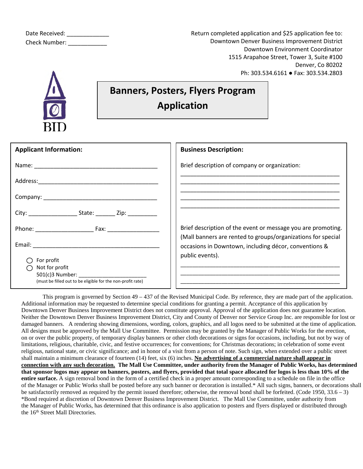| Date Received:       |  |
|----------------------|--|
| <b>Check Number:</b> |  |

Return completed application and \$25 application fee to: Downtown Denver Business Improvement District Downtown Environment Coordinator 1515 Arapahoe Street, Tower 3, Suite #100 Denver, Co 80202 Ph: 303.534.6161 ● Fax: 303.534.2803



## **Banners, Posters, Flyers Program Application**

| <b>Applicant Information:</b>                                                                                    | <b>Business Description:</b>                                                                                          |
|------------------------------------------------------------------------------------------------------------------|-----------------------------------------------------------------------------------------------------------------------|
|                                                                                                                  | Brief description of company or organization:                                                                         |
|                                                                                                                  |                                                                                                                       |
|                                                                                                                  |                                                                                                                       |
| City: City: City: City: City: City: City:                                                                        |                                                                                                                       |
| Phone: Fax:                                                                                                      | Brief description of the event or message you are promoting.                                                          |
|                                                                                                                  | (Mall banners are rented to groups/organizations for special<br>occasions in Downtown, including décor, conventions & |
| For profit<br>Not for profit<br>$501(c)3$ Number:<br>(must be filled out to be eligible for the non-profit rate) | public events).                                                                                                       |

This program is governed by Section 49 – 437 of the Revised Municipal Code. By reference, they are made part of the application. Additional information may be requested to determine special conditions for granting a permit. Acceptance of this application by Downtown Denver Business Improvement District does not constitute approval. Approval of the application does not guarantee location. Neither the Downtown Denver Business Improvement District, City and County of Denver nor Service Group Inc. are responsible for lost or damaged banners. A rendering showing dimensions, wording, colors, graphics, and all logos need to be submitted at the time of application. All designs must be approved by the Mall Use Committee. Permission may be granted by the Manager of Public Works for the erection, on or over the public property, of temporary display banners or other cloth decorations or signs for occasions, including, but not by way of limitations, religious, charitable, civic, and festive occurrences; for conventions; for Christmas decorations; in celebration of some event religious, national state, or civic significance; and in honor of a visit from a person of note. Such sign, when extended over a public street shall maintain a minimum clearance of fourteen (14) feet, six (6) inches. **No advertising of a commercial nature shall appear in connection with any such decoration. The Mall Use Committee, under authority from the Manager of Public Works, has determined that sponsor logos may appear on banners, posters, and flyers, provided that total space allocated for logos is less than 10% of the entire surface.** A sign removal bond in the form of a certified check in a proper amount corresponding to a schedule on file in the office of the Manager or Public Works shall be posted before any such banner or decoration is installed.\* All such signs, banners, or decorations shall be satisfactorily removed as required by the permit issued therefore; otherwise, the removal bond shall be forfeited. (Code 1950, 33.6 – 3) \*Bond required at discretion of Downtown Denver Business Improvement District. The Mall Use Committee, under authority from the Manager of Public Works, has determined that this ordinance is also application to posters and flyers displayed or distributed through the 16<sup>th</sup> Street Mall Directories.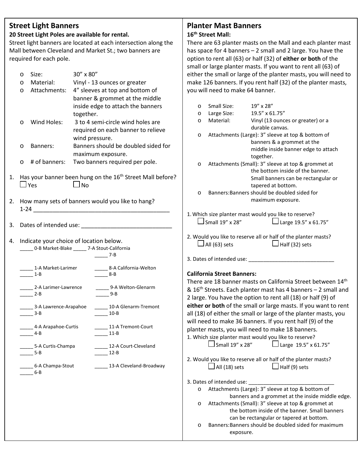#### **Street Light Banners**

#### **20 Street Light Poles are available for rental.**

**Applicant Signature:**<br>Street light banners are located at each intersection along the There are 63 planter masts on the Mall Mall between Cleveland and Market St.; two banners are **Accurat Primes system** has space for 4 banners – 2 small and 2 required for each pole.

|    | O | Size:                                               | 30" x 80"         |                                                                       |         | $\frac{1}{2}$<br>either the small or large of the p           |                   |  |
|----|---|-----------------------------------------------------|-------------------|-----------------------------------------------------------------------|---------|---------------------------------------------------------------|-------------------|--|
|    | O | Material:                                           |                   | Vinyl - 13 ounces or greater                                          |         | make 126 banners. If you rent ha                              |                   |  |
|    | O | Attachments:                                        |                   | 4" sleeves at top and bottom of                                       |         | you will need to make 64 banner                               |                   |  |
|    |   |                                                     |                   | banner & grommet at the middle                                        |         |                                                               |                   |  |
|    |   |                                                     |                   | inside edge to attach the banners                                     | $\circ$ | Small Size:                                                   | 19" x 28"         |  |
|    |   |                                                     |                   |                                                                       | $\circ$ | Large Size:                                                   | 19.5" x 6         |  |
|    |   |                                                     | together.         |                                                                       | $\circ$ | Material:                                                     | Vinyl (13         |  |
|    | O | Wind Holes:                                         |                   | 3 to 4 semi-circle wind holes are                                     |         |                                                               | durable c         |  |
|    |   |                                                     |                   | required on each banner to relieve                                    | $\circ$ | Attachments (Large): 3" sle                                   |                   |  |
|    |   |                                                     | wind pressure.    |                                                                       |         |                                                               | banners &         |  |
|    | O | Banners:                                            |                   | Banners should be doubled sided for                                   |         |                                                               | middle in         |  |
|    |   |                                                     | maximum exposure. |                                                                       |         |                                                               | together.         |  |
|    | O | # of banners:                                       |                   | Two banners required per pole.                                        | $\circ$ | Attachments (Small): 3" sle                                   |                   |  |
|    |   |                                                     |                   |                                                                       |         |                                                               | the botto         |  |
| 1. |   |                                                     |                   | Has your banner been hung on the 16 <sup>th</sup> Street Mall before? |         |                                                               | Small bar         |  |
|    |   | $\Box$ Yes                                          | $\Box$ No         |                                                                       |         |                                                               | tapered a         |  |
|    |   |                                                     |                   |                                                                       | $\circ$ | Banners: Banners should be                                    |                   |  |
| 2. |   |                                                     |                   | How many sets of banners would you like to hang?                      |         |                                                               | maximun           |  |
|    |   |                                                     |                   |                                                                       |         |                                                               |                   |  |
|    |   |                                                     |                   |                                                                       |         | 1. Which size planter mast would yo<br>$\Box$ Small 19" x 28" |                   |  |
|    |   |                                                     |                   |                                                                       |         |                                                               |                   |  |
|    |   |                                                     |                   |                                                                       |         | 2. Would you like to reserve all or ha                        |                   |  |
| 4. |   | Indicate your choice of location below.             |                   |                                                                       |         | $\Box$ All (63) sets                                          |                   |  |
|    |   | ______ 0-B Market-Blake ______ 7-A Stout-California |                   |                                                                       |         |                                                               |                   |  |
|    |   |                                                     |                   | $\frac{1}{2}$ 7-B                                                     |         | 3. Dates of intended use: ________                            |                   |  |
|    |   | 1-A Market-Larimer                                  |                   | _______ 8-A California-Welton                                         |         |                                                               |                   |  |
|    |   | $1-B$                                               |                   | $8-B$                                                                 |         | <b>California Street Banners:</b>                             |                   |  |
|    |   |                                                     |                   |                                                                       |         | There are 18 banner masts on Ca                               |                   |  |
|    |   | 2-A Larimer-Lawrence                                |                   | 9-A Welton-Glenarm                                                    |         | & 16 <sup>th</sup> Streets. Each planter mast                 |                   |  |
|    |   | $2 - B$                                             |                   | $\frac{9-B}{2}$                                                       |         | 2 large. You have the option to re                            |                   |  |
|    |   | 3-A Lawrence-Arapahoe                               |                   | 10-A Glenarm-Tremont                                                  |         | either or both of the small or lar                            |                   |  |
|    |   | $3-B$                                               |                   | $10-B$                                                                |         | all (18) of either the small or larg                          |                   |  |
|    |   |                                                     |                   |                                                                       |         | will need to make 36 banners. If                              |                   |  |
|    |   | _4-A Arapahoe-Curtis                                |                   | 11-A Tremont-Court                                                    |         | planter masts, you will need to n                             |                   |  |
|    |   | $-4-B$                                              |                   | $11-B$                                                                |         | 1. Which size planter mast would yo                           |                   |  |
|    |   |                                                     |                   |                                                                       |         | $\sf J$ Small 19" x 28"                                       |                   |  |
|    |   | 5-A Curtis-Champa<br>$5 - B$                        |                   | 12-A Court-Cleveland<br>$12 - B$                                      |         |                                                               |                   |  |
|    |   |                                                     |                   |                                                                       |         | 2. Would you like to reserve all or ha                        |                   |  |
|    |   | 6-A Champa-Stout                                    |                   | 13-A Cleveland-Broadway                                               |         | $\Box$ All (18) sets                                          |                   |  |
|    |   | 6-B                                                 |                   |                                                                       |         |                                                               |                   |  |
|    |   |                                                     |                   |                                                                       |         | 3. Dates of intended use:                                     |                   |  |
|    |   |                                                     |                   |                                                                       | $\circ$ | Attachments (Large): 3" sle                                   |                   |  |
|    |   |                                                     |                   |                                                                       |         |                                                               | banners and a gro |  |
|    |   |                                                     |                   |                                                                       | $\circ$ | Attachments (Small): 3" sle                                   |                   |  |
|    |   |                                                     |                   |                                                                       |         |                                                               | the bottom inside |  |
|    |   |                                                     |                   |                                                                       |         |                                                               | can be rectangula |  |
|    |   |                                                     |                   |                                                                       | $\circ$ | Banners: Banners should be                                    |                   |  |
|    |   |                                                     |                   |                                                                       |         | $\alpha$ nocuro                                               |                   |  |

#### **Planter Mast Banners 16th Street Mall:**

There are 63 planter masts on the Mall and each planter mast has space for 4 banners – 2 small and 2 large. You have the option to rent all (63) or half (32) of **either or both** of the small or large planter masts. If you want to rent all (63) of either the small or large of the planter masts, you will need to make 126 banners. If you rent half (32) of the planter masts, you will need to make 64 banner.

|                                                                            | inside edge to attach the banners<br>together.                          | 19" x 28"<br>Small Size:<br>$\circ$<br>Large Size:<br>19.5" x 61.75"<br>$\circ$                                                                                                                                                                                                                                                                                                                |
|----------------------------------------------------------------------------|-------------------------------------------------------------------------|------------------------------------------------------------------------------------------------------------------------------------------------------------------------------------------------------------------------------------------------------------------------------------------------------------------------------------------------------------------------------------------------|
| d Holes:                                                                   | 3 to 4 semi-circle wind holes are<br>required on each banner to relieve | Material:<br>Vinyl (13 ounces or greater) or a<br>$\circ$<br>durable canvas.                                                                                                                                                                                                                                                                                                                   |
|                                                                            | wind pressure.                                                          | Attachments (Large): 3" sleeve at top & bottom of<br>$\circ$                                                                                                                                                                                                                                                                                                                                   |
| ers:                                                                       | Banners should be doubled sided for<br>maximum exposure.                | banners & a grommet at the<br>middle inside banner edge to attach                                                                                                                                                                                                                                                                                                                              |
| banners:                                                                   | Two banners required per pole.                                          | together.<br>Attachments (Small): 3" sleeve at top & grommet at<br>$\circ$                                                                                                                                                                                                                                                                                                                     |
| banner been hung on the 16 <sup>th</sup> Street Mall before?<br>⊿ No       |                                                                         | the bottom inside of the banner.<br>Small banners can be rectangular or<br>tapered at bottom.<br>Banners: Banners should be doubled sided for<br>$\circ$                                                                                                                                                                                                                                       |
|                                                                            | ny sets of banners would you like to hang?                              | maximum exposure.                                                                                                                                                                                                                                                                                                                                                                              |
|                                                                            |                                                                         |                                                                                                                                                                                                                                                                                                                                                                                                |
|                                                                            |                                                                         | 1. Which size planter mast would you like to reserve?                                                                                                                                                                                                                                                                                                                                          |
|                                                                            |                                                                         | $\Box$ Small 19" x 28"<br>$\Box$ Large 19.5" x 61.75"                                                                                                                                                                                                                                                                                                                                          |
| your choice of location below.<br>Market-Blake ______ 7-A Stout-California |                                                                         | 2. Would you like to reserve all or half of the planter masts?<br>$\Box$ All (63) sets<br>$\Box$ Half (32) sets                                                                                                                                                                                                                                                                                |
|                                                                            | $7-B$                                                                   | 3. Dates of intended use:                                                                                                                                                                                                                                                                                                                                                                      |
| Market-Larimer                                                             | 8-A California-Welton                                                   |                                                                                                                                                                                                                                                                                                                                                                                                |
|                                                                            | 8-B                                                                     | <b>California Street Banners:</b>                                                                                                                                                                                                                                                                                                                                                              |
| Larimer-Lawrence                                                           | 9-A Welton-Glenarm<br>9-B                                               | There are 18 banner masts on California Street between 14th<br>& 16 <sup>th</sup> Streets. Each planter mast has 4 banners - 2 small and<br>2 large. You have the option to rent all (18) or half (9) of                                                                                                                                                                                       |
| Lawrence-Arapahoe                                                          | 10-A Glenarm-Tremont<br>$10 - B$                                        | either or both of the small or large masts. If you want to rent<br>all (18) of either the small or large of the planter masts, you                                                                                                                                                                                                                                                             |
| Arapahoe-Curtis                                                            | 11-A Tremont-Court<br>$11-B$                                            | will need to make 36 banners. If you rent half (9) of the<br>planter masts, you will need to make 18 banners.<br>1. Which size planter mast would you like to reserve?                                                                                                                                                                                                                         |
| Curtis-Champa                                                              | 12-A Court-Cleveland<br>$12 - B$                                        | $\Box$ Small 19" x 28" $\Box$ Large 19.5" x 61.75"                                                                                                                                                                                                                                                                                                                                             |
| Champa-Stout                                                               | 13-A Cleveland-Broadway                                                 | 2. Would you like to reserve all or half of the planter masts?<br>$\square$ All (18) sets $\square$ Half (9) sets                                                                                                                                                                                                                                                                              |
|                                                                            |                                                                         | 3. Dates of intended use: _<br>Attachments (Large): 3" sleeve at top & bottom of<br>$\circ$<br>banners and a grommet at the inside middle edge.<br>Attachments (Small): 3" sleeve at top & grommet at<br>$\circ$<br>the bottom inside of the banner. Small banners<br>can be rectangular or tapered at bottom.<br>Banners: Banners should be doubled sided for maximum<br>$\circ$<br>exposure. |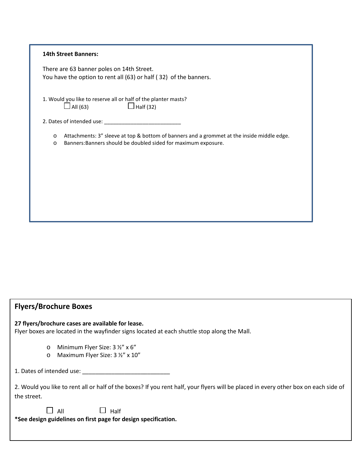|                    | <b>14th Street Banners:</b>                                                                                                                                                        |
|--------------------|------------------------------------------------------------------------------------------------------------------------------------------------------------------------------------|
|                    | There are 63 banner poles on 14th Street.<br>You have the option to rent all (63) or half (32) of the banners.                                                                     |
|                    | 1. Would you like to reserve all or half of the planter masts?<br>$\Box$ All (63)<br>$\Box$ Half (32)                                                                              |
|                    |                                                                                                                                                                                    |
|                    | Attachments: 3" sleeve at top & bottom of banners and a grommet at the inside middle edge.<br>$\circ$<br>Banners: Banners should be doubled sided for maximum exposure.<br>$\circ$ |
|                    |                                                                                                                                                                                    |
|                    |                                                                                                                                                                                    |
|                    |                                                                                                                                                                                    |
|                    |                                                                                                                                                                                    |
|                    |                                                                                                                                                                                    |
|                    |                                                                                                                                                                                    |
|                    |                                                                                                                                                                                    |
|                    |                                                                                                                                                                                    |
|                    | <b>Flyers/Brochure Boxes</b>                                                                                                                                                       |
|                    | 27 flyers/brochure cases are available for lease.<br>Flyer boxes are located in the wayfinder signs located at each shuttle stop along the Mall.                                   |
| $\circ$<br>$\circ$ | Minimum Flyer Size: 3 1/2" x 6"<br>Maximum Flyer Size: 3 1/2" x 10"                                                                                                                |
|                    |                                                                                                                                                                                    |
|                    | 2. Would you like to rent all or half of the boxes? If you rent half, your flyers will be placed in every other box on ea                                                          |

2. Would you like to rent all or half of the boxes? If you rent half, your flyers will be placed in every other box on each side of the street.

 $\Box$  All  $\Box$  Half

**\*See design guidelines on first page for design specification.**